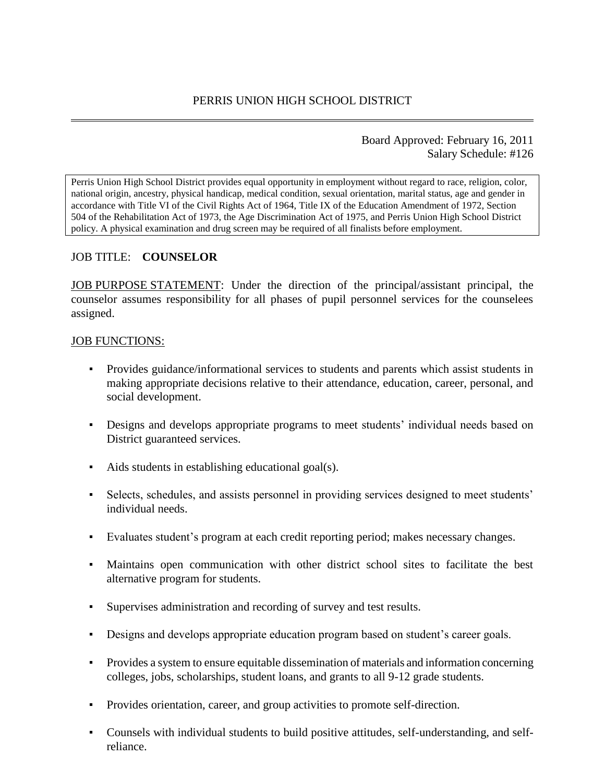## Board Approved: February 16, 2011 Salary Schedule: #126

Perris Union High School District provides equal opportunity in employment without regard to race, religion, color, national origin, ancestry, physical handicap, medical condition, sexual orientation, marital status, age and gender in accordance with Title VI of the Civil Rights Act of 1964, Title IX of the Education Amendment of 1972, Section 504 of the Rehabilitation Act of 1973, the Age Discrimination Act of 1975, and Perris Union High School District policy. A physical examination and drug screen may be required of all finalists before employment.

# JOB TITLE: **COUNSELOR**

JOB PURPOSE STATEMENT: Under the direction of the principal/assistant principal, the counselor assumes responsibility for all phases of pupil personnel services for the counselees assigned.

## JOB FUNCTIONS:

- Provides guidance/informational services to students and parents which assist students in making appropriate decisions relative to their attendance, education, career, personal, and social development.
- **•** Designs and develops appropriate programs to meet students' individual needs based on District guaranteed services.
- Aids students in establishing educational goal(s).
- Selects, schedules, and assists personnel in providing services designed to meet students' individual needs.
- Evaluates student's program at each credit reporting period; makes necessary changes.
- Maintains open communication with other district school sites to facilitate the best alternative program for students.
- Supervises administration and recording of survey and test results.
- Designs and develops appropriate education program based on student's career goals.
- Provides a system to ensure equitable dissemination of materials and information concerning colleges, jobs, scholarships, student loans, and grants to all 9-12 grade students.
- Provides orientation, career, and group activities to promote self-direction.
- Counsels with individual students to build positive attitudes, self-understanding, and selfreliance.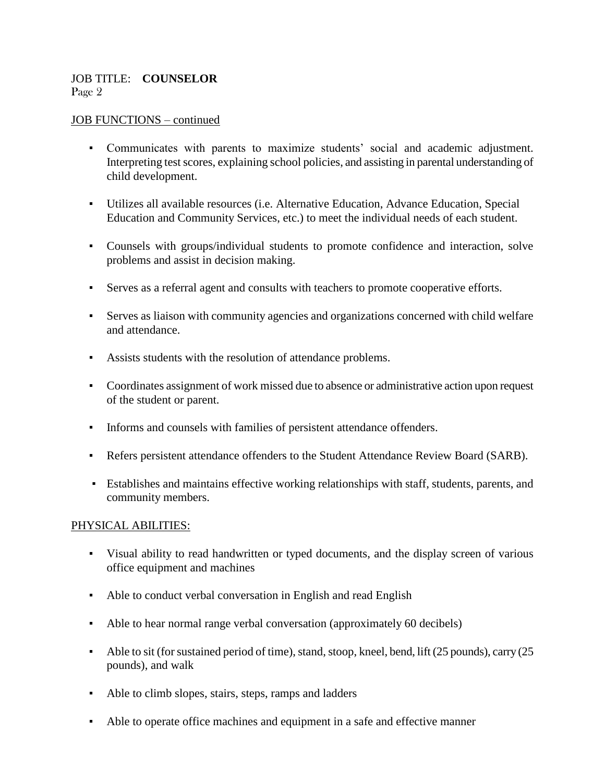## JOB TITLE: **COUNSELOR** Page 2

## JOB FUNCTIONS – continued

- Communicates with parents to maximize students' social and academic adjustment. Interpreting test scores, explaining school policies, and assisting in parental understanding of child development.
- Utilizes all available resources (i.e. Alternative Education, Advance Education, Special Education and Community Services, etc.) to meet the individual needs of each student.
- Counsels with groups/individual students to promote confidence and interaction, solve problems and assist in decision making.
- Serves as a referral agent and consults with teachers to promote cooperative efforts.
- Serves as liaison with community agencies and organizations concerned with child welfare and attendance.
- Assists students with the resolution of attendance problems.
- Coordinates assignment of work missed due to absence or administrative action upon request of the student or parent.
- Informs and counsels with families of persistent attendance offenders.
- Refers persistent attendance offenders to the Student Attendance Review Board (SARB).
- Establishes and maintains effective working relationships with staff, students, parents, and community members.

#### PHYSICAL ABILITIES:

- Visual ability to read handwritten or typed documents, and the display screen of various office equipment and machines
- Able to conduct verbal conversation in English and read English
- Able to hear normal range verbal conversation (approximately 60 decibels)
- Able to sit (for sustained period of time), stand, stoop, kneel, bend, lift (25 pounds), carry (25 pounds), and walk
- Able to climb slopes, stairs, steps, ramps and ladders
- Able to operate office machines and equipment in a safe and effective manner